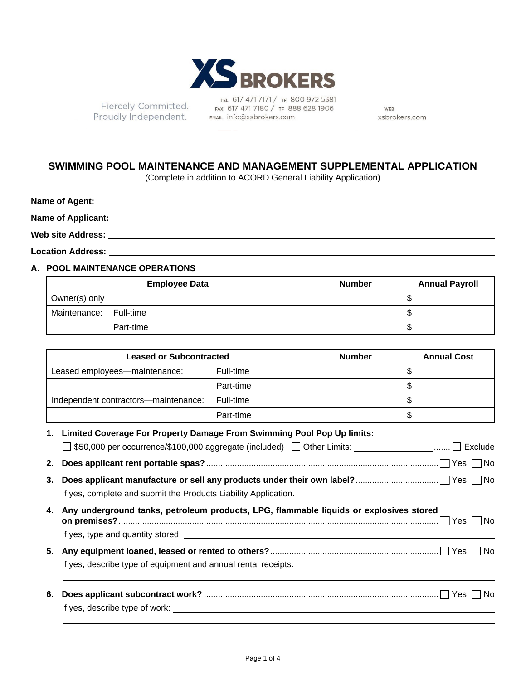

Fiercely Committed. Proudly Independent.

TEL 617 471 7171 / TF 800 972 5381 FAX 617 471 7180 / TF 888 628 1906 EMAIL info@xsbrokers.com

WEB xsbrokers.com

### **SWIMMING POOL MAINTENANCE AND MANAGEMENT SUPPLEMENTAL APPLICATION**

(Complete in addition to ACORD General Liability Application)

| Name of Agent:            |  |  |
|---------------------------|--|--|
| <b>Name of Applicant:</b> |  |  |
| <b>Web site Address:</b>  |  |  |

**Location Address:**

#### **A. POOL MAINTENANCE OPERATIONS**

| <b>Employee Data</b>   | <b>Number</b> | <b>Annual Payroll</b> |
|------------------------|---------------|-----------------------|
| Owner(s) only          |               | - 5                   |
| Maintenance: Full-time |               | - \$                  |
| Part-time              |               | \$                    |

| <b>Leased or Subcontracted</b>       |           | <b>Number</b> | <b>Annual Cost</b> |
|--------------------------------------|-----------|---------------|--------------------|
| Leased employees-maintenance:        | Full-time |               | \$                 |
|                                      | Part-time |               | S                  |
| Independent contractors—maintenance: | Full-time |               | S                  |
|                                      | Part-time |               | \$                 |

|    | 1. Limited Coverage For Property Damage From Swimming Pool Pop Up limits:                               |
|----|---------------------------------------------------------------------------------------------------------|
|    | □ \$50,000 per occurrence/\$100,000 aggregate (included) □ Other Limits: ____________________ □ Exclude |
| 2. |                                                                                                         |
| 3. | If yes, complete and submit the Products Liability Application.                                         |
|    | 4. Any underground tanks, petroleum products, LPG, flammable liquids or explosives stored               |
| 5. |                                                                                                         |
| 6. |                                                                                                         |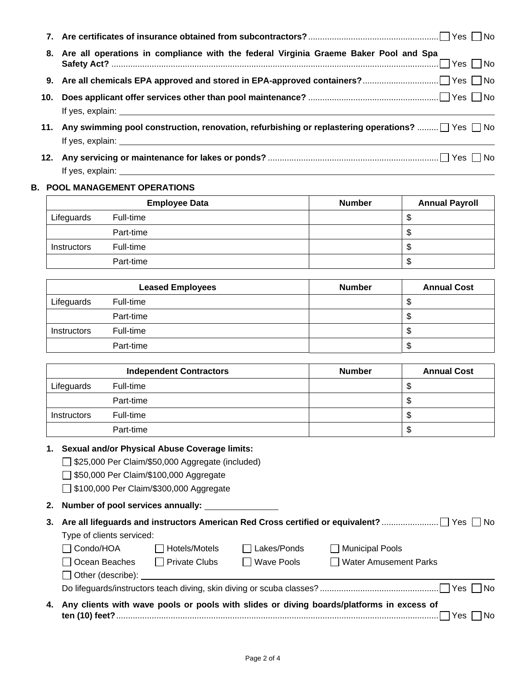| 8. Are all operations in compliance with the federal Virginia Graeme Baker Pool and Spa          |
|--------------------------------------------------------------------------------------------------|
|                                                                                                  |
|                                                                                                  |
| 11. Any swimming pool construction, renovation, refurbishing or replastering operations?  Yes No |
|                                                                                                  |

# If yes, explain: \_\_\_\_

| <b>B. POOL MANAGEMENT OPERATIONS</b> |                      |               |                       |
|--------------------------------------|----------------------|---------------|-----------------------|
|                                      | <b>Employee Data</b> | <b>Number</b> | <b>Annual Payroll</b> |
| Lifeguards                           | Full-time            |               | ۰D                    |
|                                      | Part-time            |               | ۰D                    |
| <b>Instructors</b>                   | Full-time            |               | ۰D                    |
|                                      | Part-time            |               | จ                     |

|                    | <b>Leased Employees</b> | <b>Number</b> | <b>Annual Cost</b> |
|--------------------|-------------------------|---------------|--------------------|
| Lifeguards         | Full-time               |               | \$                 |
|                    | Part-time               |               | \$                 |
| <b>Instructors</b> | Full-time               |               | \$                 |
|                    | Part-time               |               | \$                 |

|                    | <b>Independent Contractors</b> | <b>Number</b> | <b>Annual Cost</b> |
|--------------------|--------------------------------|---------------|--------------------|
| Lifeguards         | Full-time                      |               | æ                  |
|                    | Part-time                      |               | J                  |
| <b>Instructors</b> | Full-time                      |               | S                  |
|                    | Part-time                      |               | \$                 |

#### **1. Sexual and/or Physical Abuse Coverage limits:**

□ \$25,000 Per Claim/\$50,000 Aggregate (included)

550,000 Per Claim/\$100,000 Aggregate

□ \$100,000 Per Claim/\$300,000 Aggregate

**2. Number of pool services annually:** 

| Type of clients serviced: |                                                                                                                                                                                                                                     |                    |                                                                                             |
|---------------------------|-------------------------------------------------------------------------------------------------------------------------------------------------------------------------------------------------------------------------------------|--------------------|---------------------------------------------------------------------------------------------|
| $\Box$ Condo/HOA          | □ Hotels/Motels                                                                                                                                                                                                                     | $\Box$ Lakes/Ponds | Municipal Pools                                                                             |
| □ Ocean Beaches           | $\Box$ Private Clubs                                                                                                                                                                                                                | $\Box$ Wave Pools  | Water Amusement Parks                                                                       |
|                           | Other (describe): <u>contained</u> and the contact of the contact of the contact of the contact of the contact of the contact of the contact of the contact of the contact of the contact of the contact of the contact of the cont |                    |                                                                                             |
|                           |                                                                                                                                                                                                                                     |                    |                                                                                             |
|                           |                                                                                                                                                                                                                                     |                    | 4. Any clients with wave pools or pools with slides or diving boards/platforms in excess of |

## **ten (10) feet?** ........................................................................................................................................ Yes No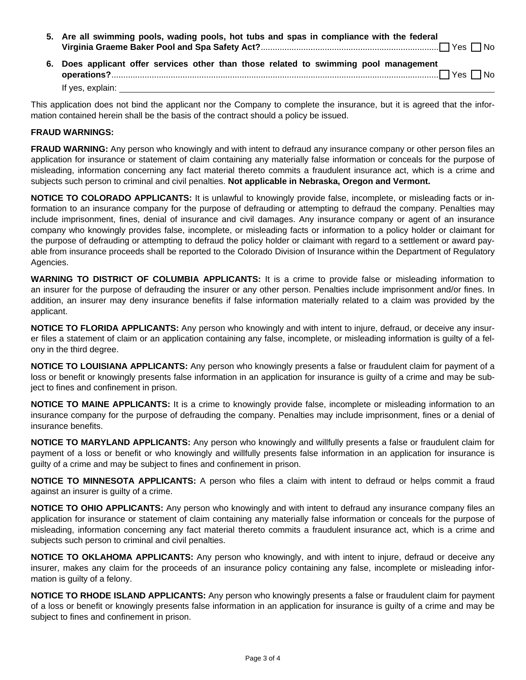| 5. Are all swimming pools, wading pools, hot tubs and spas in compliance with the federal |
|-------------------------------------------------------------------------------------------|
|                                                                                           |
| 6. Does applicant offer services other than those related to swimming pool management     |

offer services other than those related to swimming pool manage **operations?** .......................................................................................................................................... Yes No If yes, explain:

This application does not bind the applicant nor the Company to complete the insurance, but it is agreed that the information contained herein shall be the basis of the contract should a policy be issued.

#### **FRAUD WARNINGS:**

**FRAUD WARNING:** Any person who knowingly and with intent to defraud any insurance company or other person files an application for insurance or statement of claim containing any materially false information or conceals for the purpose of misleading, information concerning any fact material thereto commits a fraudulent insurance act, which is a crime and subjects such person to criminal and civil penalties. **Not applicable in Nebraska, Oregon and Vermont.**

**NOTICE TO COLORADO APPLICANTS:** It is unlawful to knowingly provide false, incomplete, or misleading facts or information to an insurance company for the purpose of defrauding or attempting to defraud the company. Penalties may include imprisonment, fines, denial of insurance and civil damages. Any insurance company or agent of an insurance company who knowingly provides false, incomplete, or misleading facts or information to a policy holder or claimant for the purpose of defrauding or attempting to defraud the policy holder or claimant with regard to a settlement or award payable from insurance proceeds shall be reported to the Colorado Division of Insurance within the Department of Regulatory Agencies.

**WARNING TO DISTRICT OF COLUMBIA APPLICANTS:** It is a crime to provide false or misleading information to an insurer for the purpose of defrauding the insurer or any other person. Penalties include imprisonment and/or fines. In addition, an insurer may deny insurance benefits if false information materially related to a claim was provided by the applicant.

**NOTICE TO FLORIDA APPLICANTS:** Any person who knowingly and with intent to injure, defraud, or deceive any insurer files a statement of claim or an application containing any false, incomplete, or misleading information is guilty of a felony in the third degree.

**NOTICE TO LOUISIANA APPLICANTS:** Any person who knowingly presents a false or fraudulent claim for payment of a loss or benefit or knowingly presents false information in an application for insurance is guilty of a crime and may be subject to fines and confinement in prison.

**NOTICE TO MAINE APPLICANTS:** It is a crime to knowingly provide false, incomplete or misleading information to an insurance company for the purpose of defrauding the company. Penalties may include imprisonment, fines or a denial of insurance benefits.

**NOTICE TO MARYLAND APPLICANTS:** Any person who knowingly and willfully presents a false or fraudulent claim for payment of a loss or benefit or who knowingly and willfully presents false information in an application for insurance is guilty of a crime and may be subject to fines and confinement in prison.

**NOTICE TO MINNESOTA APPLICANTS:** A person who files a claim with intent to defraud or helps commit a fraud against an insurer is guilty of a crime.

**NOTICE TO OHIO APPLICANTS:** Any person who knowingly and with intent to defraud any insurance company files an application for insurance or statement of claim containing any materially false information or conceals for the purpose of misleading, information concerning any fact material thereto commits a fraudulent insurance act, which is a crime and subjects such person to criminal and civil penalties.

**NOTICE TO OKLAHOMA APPLICANTS:** Any person who knowingly, and with intent to injure, defraud or deceive any insurer, makes any claim for the proceeds of an insurance policy containing any false, incomplete or misleading information is guilty of a felony.

**NOTICE TO RHODE ISLAND APPLICANTS:** Any person who knowingly presents a false or fraudulent claim for payment of a loss or benefit or knowingly presents false information in an application for insurance is guilty of a crime and may be subject to fines and confinement in prison.